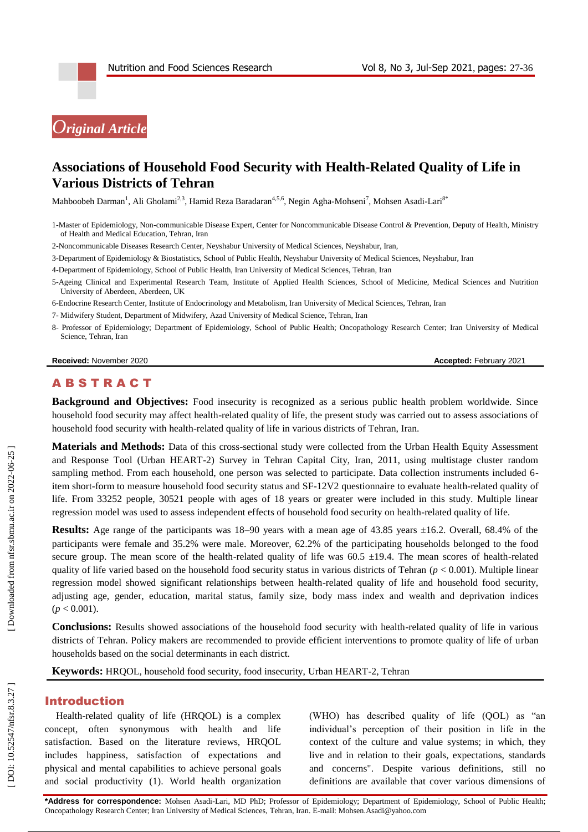

# **Associations of Household Food Security with Health -Related Quality of Life in Various Districts of Tehran**

Mahboobeh Darman<sup>1</sup>, Ali Gholami<sup>2,3</sup>, Hamid Reza Baradaran<sup>4,5,6</sup>, Negin Agha-Mohseni<sup>7</sup>, Mohsen Asadi-Lari<sup>8</sup>°

1 -Master of Epidemiology, Non -communicable Disease Expert, Center for Noncommunicable Disease Control & Prevention, Deputy of Health, Ministry of Health and Medical Education, Tehran, Iran

2 -Noncommunicable Diseases Research Center, Neyshabur University of Medical Sciences, Neyshabur, Iran,

3 -Department of Epidemiology & Biostatistics, School of Public Health, Neyshabur University of Medical Sciences, Neyshabur, Iran

4 -Department of Epidemiology, School of Public Health, Iran University of Medical Sciences, Tehran, Iran

5 -Ageing Clinical and Experimental Research Team, Institute of Applied Health Sciences, School of Medicine, Medical Sciences and Nutrition University of Aberdeen, Aberdeen, UK

6 -Endocrine Research Center, Institute of Endocrinology and Metabolism, Iran University of Medical Sciences, Tehran, Iran

- 7 Midwifery Student, Department of Midwifery, Azad University of Medical Science, Tehran, Iran
- 8 Professor of Epidemiology; Department of Epidemiology, School of Public Health; Oncopathology Research Center; Iran University of Medical Science, Tehran, Iran

**Received:** November 2020 **Accepted: February 2021** 

# **ABSTRACT**

**Background and Objectives:** Food insecurity is recognized as a serious public health problem worldwide. Since household food security may affect health -related quality of life, the present study was carried out to assess associations of household food security with health -related quality of life in various districts of Tehran, Iran.

**Materials and Methods:** Data of this cross -sectional study were collected from the Urban Health Equity Assessment and Response Tool (Urban HEART -2) Survey in Tehran Capital City, Iran, 2011, using multistage cluster random sampling method. From each household, one person was selected to participate. Data collection instruments included 6item short -form to measure household food security status and SF -12V2 questionnaire to evaluate health -related quality of life. From 33252 people, 30521 people with ages of 18 years or greater were included in this study. Multiple linear regression model was used to assess independent effects of household food security on health -related quality of life.

Results: Age range of the participants was 18-90 years with a mean age of 43.85 years ±16.2. Overall, 68.4% of the participants were female and 35.2% were male. Moreover, 62.2% of the participating households belonged to the food secure group. The mean score of the health-related quality of life was  $60.5 \pm 19.4$ . The mean scores of health-related quality of life varied based on the household food security status in various districts of Tehran (*p* < 0.001). Multiple linear regression model showed significant relationships between health -related quality of life and household food security, adjusting age, gender, education, marital status, family size, body mass index and wealth and deprivation indices  $(p < 0.001)$ .

**Conclusions:** Results showed associations of the household food security with health -related quality of life in various districts of Tehran. Policy makers are recommended to provide efficient interventions to promote quality of life of urban households based on the social determinants in each district.

**Keywords:** HRQOL, household food security, food insecurity, Urban HEART -2, Tehran

### Introduction

Health -related quality of life (HRQOL) is a complex concept, often synonymous with health and life satisfaction. Based on the literature reviews, HRQOL includes happiness, satisfaction of expectations and physical and mental capabilities to achieve personal goals and social productivity (1). World health organization

(WHO) has described quality of life (QOL) as "an individual's perception of their position in life in the context of the culture and value systems; in which, they live and in relation to their goals, expectations, standards and concerns". Despite various definitions, still no definitions are available that cover various dimensions of

**\*Address for correspondence:** Mohsen Asadi -Lari, MD PhD; Professor of Epidemiology; Department of Epidemiology, School of Public Health; Oncopathology Research Center; Iran University of Medical Sciences, Tehran, Iran. E-mail: Mohsen.Asadi@yahoo.com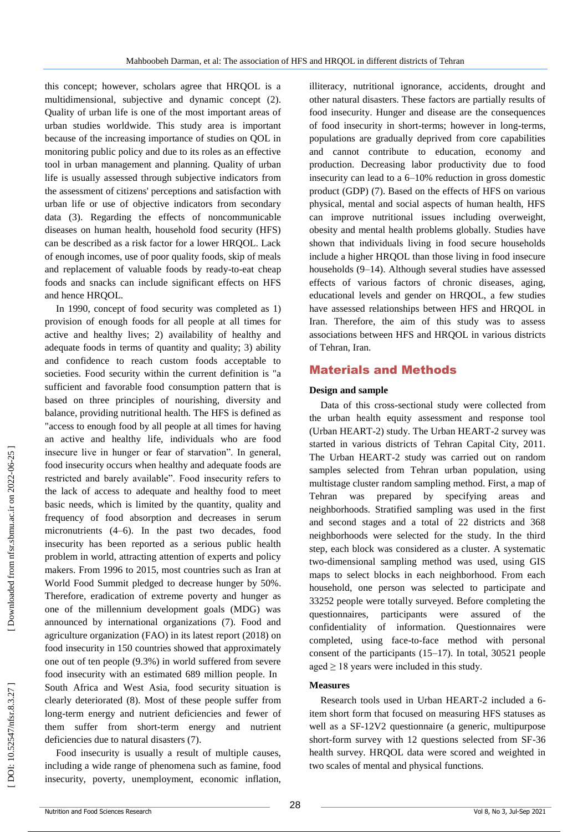this concept; however, scholars agree that HRQOL is a multidimensional, subjective and dynamic concept (2). Quality of urban life is one of the most important areas of urban studies worldwide. This study area is important because of the increasing importance of studies on QOL in monitoring public policy and due to its roles as an effective tool in urban management and planning. Quality of urban life is usually assessed through subjective indicators from the assessment of citizens' perceptions and satisfaction with urban life or use of objective indicators from secondary data (3). Regarding the effects of noncommunicable diseases on human health, household food security (HFS) can be described as a risk factor for a lower HRQOL. Lack of enough incomes, use of poor quality foods, skip of meals and replacement of valuable foods by ready -to -eat cheap foods and snacks can include significant effects on HFS and hence HRQOL.

In 1990, concept of food security was completed as 1) provision of enough foods for all people at all times for active and healthy lives; 2) availability of healthy and adequate foods in terms of quantity and quality; 3) ability and confidence to reach custom foods acceptable to societies. Food security within the current definition is "a sufficient and favorable food consumption pattern that is based on three principles of nourishing, diversity and balance, providing nutritional health. The HFS is defined as "access to enough food by all people at all times for having an active and healthy life, individuals who are food insecure live in hunger or fear of starvation". In general, food insecurity occurs when healthy and adequate foods are restricted and barely available". Food insecurity refers to the lack of access to adequate and healthy food to meet basic needs, which is limited by the quantity, quality and frequency of food absorption and decreases in serum micronutrients (4 –6). In the past two decades, food insecurity has been reported as a serious public health problem in world, attracting attention of experts and policy makers. From 1996 to 2015, most countries such as Iran at World Food Summit pledged to decrease hunger by 50%. Therefore, eradication of extreme poverty and hunger as one of the millennium development goals (MDG) was announced by international organizations (7). Food and agriculture organization (FAO) in its latest report (2018) on food insecurity in 150 countries showed that approximately one out of ten people (9.3%) in world suffered from severe food insecurity with an estimated 689 million people. In South Africa and West Asia, food security situation is clearly deteriorated (8). Most of these people suffer from long -term energy and nutrient deficiencies and fewer of them suffer from short -term energy and nutrient deficiencies due to natural disasters (7).

Food insecurity is usually a result of multiple causes, including a wide range of phenomena such as famine, food insecurity, poverty, unemployment, economic inflation,

illiteracy, nutritional ignorance, accidents, drought and other natural disasters. These factors are partially results of food insecurity. Hunger and disease are the consequences of food insecurity in short -terms; however in long -terms, populations are gradually deprived from core capabilities and cannot contribute to education, economy and production. Decreasing labor productivity due to food insecurity can lead to a 6 –10% reduction in gross domestic product (GDP) (7). Based on the effects of HFS on various physical, mental and social aspects of human health, HFS can improve nutritional issues including overweight, obesity and mental health problems globally. Studies have shown that individuals living in food secure households include a higher HRQOL than those living in food insecure households (9 –14). Although several studies have assessed effects of various factors of chronic diseases, aging, educational levels and gender on HRQOL, a few studies have assessed relationships between HFS and HRQOL in Iran. Therefore, the aim of this study was to assess associations between HFS and HRQOL in various districts of Tehran, Iran.

## Materials and Methods

#### **Design and sample**

Data of this cross -sectional study were collected from the urban health equity assessment and response tool (Urban HEART -2) study. The Urban HEART -2 survey was started in various districts of Tehran Capital City, 2011. The Urban HEART -2 study was carried out on random samples selected from Tehran urban population, using multistage cluster random sampling method. First, a map of Tehran was prepared by specifying areas and neighborhoods. Stratified sampling was used in the first and second stages and a total of 22 districts and 368 neighborhoods were selected for the study. In the third step, each block was considered as a cluster. A systematic two -dimensional sampling method was used, using GIS maps to select blocks in each neighborhood. From each household, one person was selected to participate and 33252 people were totally surveyed. Before completing the questionnaires, participants were assured of the confidentiality of information. Questionnaires were completed, using face -to -face method with personal consent of the participants (15 –17). In total, 30521 people aged  $\geq$  18 years were included in this study.

### **Measures**

Research tools used in Urban HEART -2 included a 6 item short form that focused on measuring HFS statuses as well as a SF -12V2 questionnaire (a generic, multipurpose short -form survey with 12 questions selected from SF -36 health survey. HRQOL data were scored and weighted in two scales of mental and physical functions.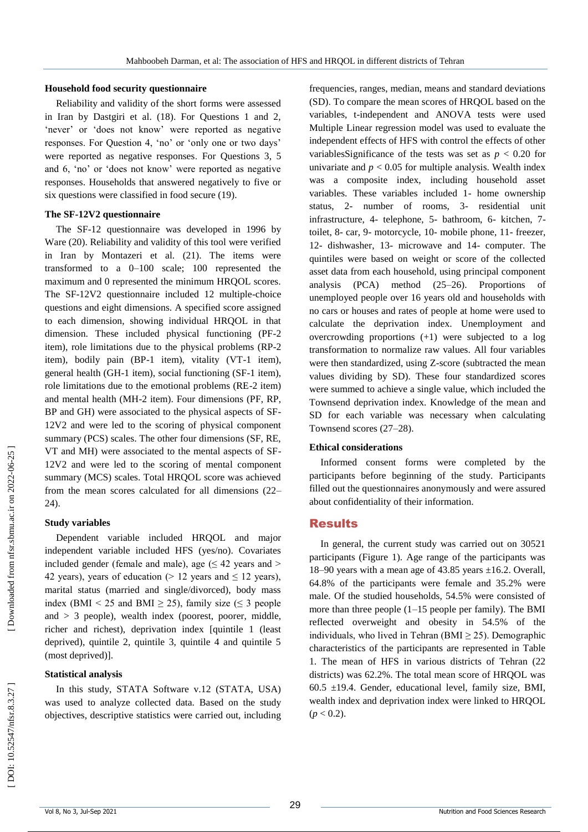#### **Household food security questionnaire**

Reliability and validity of the short forms were assessed in Iran by Dastgiri et al. (18). For Questions 1 and 2, 'never' or 'does not know' were reported as negative responses. For Question 4, 'no' or 'only one or two days' were reported as negative responses . For Questions 3, 5 and 6, 'no' or 'does not know' were reported as negative responses. Households that answered negatively to five or six questions were classified in food secure (19).

#### **The SF -12V2 questionnaire**

The SF -12 questionnaire was developed in 1996 by Ware (20). Reliability and validity of this tool were verified in Iran by Montazeri et al. (21). The items were transformed to a 0 –100 scale; 100 represented the maximum and 0 represented the minimum HRQOL scores. The SF -12V2 questionnaire included 12 multiple -choice questions and eight dimensions. A specified score assigned to each dimension, showing individual HRQOL in that dimension. These included physical functioning (PF -2 item), role limitations due to the physical problems (RP -2 item), bodily pain (BP -1 item), vitality (VT -1 item), general health (GH -1 item), social functioning (SF -1 item), role limitations due to the emotional problems (RE -2 item) and mental health (MH -2 item). Four dimensions (PF, RP, BP and GH) were associated to the physical aspects of SF - 12V2 and were led to the scoring of physical component summary (PCS) scales. The other four dimensions (SF, RE, VT and MH) were associated to the mental aspects of SF - 12V2 and were led to the scoring of menta l component summary (MCS) scales. Total HRQOL score was achieved from the mean scores calculated for all dimensions (22 – 24).

#### **Study variables**

Dependent variable included HRQOL and major independent variable included HFS (yes/no). Covariates included gender (female and male), age  $( \leq 42 \text{ years and} >$ 42 years), years of education ( $> 12$  years and  $\leq 12$  years), marital status (married and single/divorced), body mass index (BMI < 25 and BMI  $\geq$  25), family size ( $\leq$  3 people and  $> 3$  people), wealth index (poorest, poorer, middle, richer and richest), deprivation index [quintile 1 (least deprived), quintile 2, quintile 3, quintile 4 and quintile 5 (most deprived)].

## **Statistical analysis**

In this study, STATA Software v.12 (STATA, USA) was used to analyze collected data. Based on the study objectives, descriptive statistics were carried out, including

frequencies, ranges, median, means and standard deviations (SD) . To compare the mean scores of HRQOL based on the variables, t -independent and ANOVA tests were used Multiple Linear regression model was used to evaluate the independent effects of HFS with control the effects of other variablesSignificance of the tests was set as  $p < 0.20$  for univariate and  $p < 0.05$  for multiple analysis. Wealth index was a composite index, including household asset variables. These variables included 1 - home ownership status, 2- number of rooms, 3- residential unit infrastructure, 4- telephone, 5- bathroom, 6- kitchen, 7toilet, 8- car, 9- motorcycle, 10- mobile phone, 11- freezer, 12 - dishwasher, 13 - microwave and 14 - computer. The quintiles were based on weight or score of the collected asset data from each household, using principal component analysis (PCA) method (25 –26). Proportions of unemployed people over 16 years old and households with no cars or houses and rates of people at home were used to calculate the deprivation index. Unemployment and overcrowding proportions (+1) were subjected to a log transformation to normalize raw values. All four variables were then standardized, using Z -score (subtracted the mean values dividing by SD). These four standardized scores were summed to achieve a single value, which included the Townsend deprivation index. Knowledge of the mean and SD for each variable was necessary when calculating Townsend scores (27 –28).

### **Ethical considerations**

Informed consent forms were completed by the participants before beginning of the study. Participants filled out the questionnaires anonymously and were assured about confidentiality of their information.

## Results

In general, the current study was carried out on 30521 participants (Figure 1). Age range of the participants was 18 –90 years with a mean age of 43.85 years ±16.2. Overall, 64.8% of the participants were female and 35.2% were male. Of the studied households, 54.5% were consisted of more than three people (1 –15 people per family). The BMI reflected overweight and obesity in 54.5% of the individuals, who lived in Tehran (BMI  $\geq$  25). Demographic characteristics of the participants are represented in Table 1. The mean of HFS in various districts of Tehran (22 districts) was 62.2%. The total mean score of HRQOL was  $60.5 \pm 19.4$ . Gender, educational level, family size, BMI, wealth index and deprivation index were linked to HRQOL (*p* < 0.2).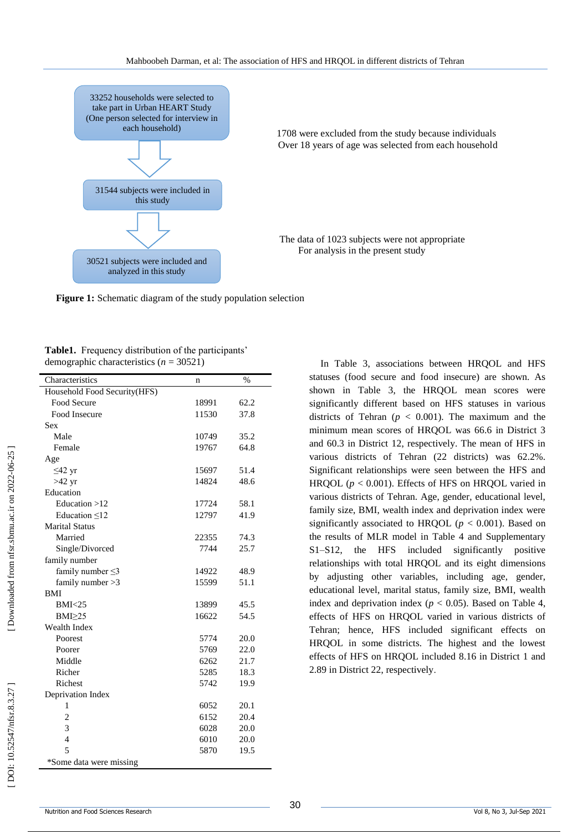

 1708 were excluded from the study because individuals **Example 3** Over 18 years of age was selected from each household

> The data of 1023 subjects were not appropriate For analysis in the present study

Figure 1: Schematic diagram of the study population selection

**Table1.** Frequency distribution of the participants' demographic characteristics ( *n* = 30521)

| Characteristics              | n     | $\frac{0}{0}$ |
|------------------------------|-------|---------------|
| Household Food Security(HFS) |       |               |
| Food Secure                  | 18991 | 62.2          |
| Food Insecure                | 11530 | 37.8          |
| Sex                          |       |               |
| Male                         | 10749 | 35.2          |
| Female                       | 19767 | 64.8          |
| Age                          |       |               |
| $\leq$ 42 yr                 | 15697 | 51.4          |
| $>42$ yr                     | 14824 | 48.6          |
| Education                    |       |               |
| Education $>12$              | 17724 | 58.1          |
| Education $\leq 12$          | 12797 | 41.9          |
| <b>Marital Status</b>        |       |               |
| Married                      | 22355 | 74.3          |
| Single/Divorced              | 7744  | 25.7          |
| family number                |       |               |
| family number $\leq$ 3       | 14922 | 48.9          |
| family number $>3$           | 15599 | 51.1          |
| <b>BMI</b>                   |       |               |
| BMI < 25                     | 13899 | 45.5          |
| $BMI \geq 25$                | 16622 | 54.5          |
| <b>Wealth Index</b>          |       |               |
| Poorest                      | 5774  | 20.0          |
| Poorer                       | 5769  | 22.0          |
| Middle                       | 6262  | 21.7          |
| Richer                       | 5285  | 18.3          |
| Richest                      | 5742  | 19.9          |
| Deprivation Index            |       |               |
| 1                            | 6052  | 20.1          |
| $\overline{2}$               | 6152  | 20.4          |
| 3                            | 6028  | 20.0          |
| $\overline{4}$               | 6010  | 20.0          |
| 5                            | 5870  | 19.5          |
| *Some data were missing      |       |               |
|                              |       |               |

In Table 3, associations between HRQOL and HFS statuses (food secure and food insecure) are shown. As shown in Table 3, the HRQOL mean scores were significantly different based on HFS statuses in various districts of Tehran ( $p < 0.001$ ). The maximum and the minimum mean scores of HRQOL was 66.6 in District 3 and 60.3 in District 12, respectively. The mean of HFS in various districts of Tehran (22 districts) was 62.2%. Significant relationships were seen between the HFS and HRQOL ( $p < 0.001$ ). Effects of HFS on HRQOL varied in various districts of Tehran. Age, gender, educational level, family size, BMI, wealth index and deprivation index were significantly associated to HRQOL ( $p < 0.001$ ). Based on the results of MLR model in Table 4 and Supplementary S1 –S12, the HFS included significantly positive relationships with total HRQOL and its eight dimensions by adjusting other variables, including age, gender, educational level, marital status, family size, BMI, wealth index and deprivation index ( $p < 0.05$ ). Based on Table 4, effects of HFS on HRQOL varied in various districts of Tehran; hence, HFS included significant effects on HRQOL in some districts. The highest and the lowest effects of HFS on HRQOL included 8.16 in District 1 and 2.89 in District 22, respectively .

Downloaded from nfsr.sbmu.ac.ir on 2022-06-25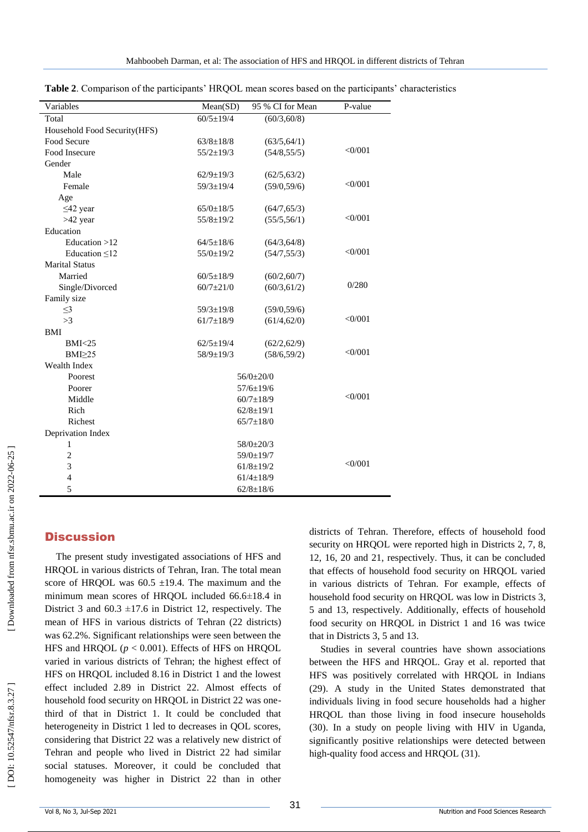| Variables                    | Mean(SD)        | 95 % CI for Mean | P-value   |
|------------------------------|-----------------|------------------|-----------|
| Total                        | $60/5 \pm 19/4$ | (60/3, 60/8)     |           |
| Household Food Security(HFS) |                 |                  |           |
| Food Secure                  | $63/8 \pm 18/8$ | (63/5, 64/1)     |           |
| Food Insecure                | $55/2 \pm 19/3$ | (54/8, 55/5)     | $<$ 0/001 |
| Gender                       |                 |                  |           |
| Male                         | $62/9 \pm 19/3$ | (62/5, 63/2)     |           |
| Female                       | $59/3 \pm 19/4$ | (59/0, 59/6)     | $<$ 0/001 |
| Age                          |                 |                  |           |
| $\leq$ 42 year               | $65/0 \pm 18/5$ | (64/7, 65/3)     |           |
| $>42$ year                   | $55/8 \pm 19/2$ | (55/5, 56/1)     | $<$ 0/001 |
| Education                    |                 |                  |           |
| Education $>12$              | $64/5 \pm 18/6$ | (64/3, 64/8)     |           |
| Education $\leq 12$          | $55/0 \pm 19/2$ | (54/7, 55/3)     | <0/001    |
| <b>Marital Status</b>        |                 |                  |           |
| Married                      | $60/5 \pm 18/9$ | (60/2, 60/7)     |           |
| Single/Divorced              | $60/7 \pm 21/0$ | (60/3, 61/2)     | 0/280     |
| Family size                  |                 |                  |           |
| $\leq$ 3                     | $59/3 \pm 19/8$ | (59/0, 59/6)     |           |
| >3                           | $61/7 \pm 18/9$ | (61/4, 62/0)     | <0/001    |
| <b>BMI</b>                   |                 |                  |           |
| BMI < 25                     | $62/5 \pm 19/4$ | (62/2, 62/9)     |           |
| $BMI \geq 25$                | $58/9 \pm 19/3$ | (58/6, 59/2)     | $<$ 0/001 |
| Wealth Index                 |                 |                  |           |
| Poorest                      |                 | 56/0±20/0        |           |
| Poorer                       |                 | $57/6 \pm 19/6$  |           |
| Middle                       | $60/7 \pm 18/9$ |                  | <0/001    |
| Rich                         | $62/8 \pm 19/1$ |                  |           |
| Richest                      |                 | $65/7 \pm 18/0$  |           |
| Deprivation Index            |                 |                  |           |
| 1                            |                 | 58/0±20/3        |           |
| $\overline{c}$               | 59/0±19/7       |                  |           |
| 3                            |                 | $61/8 \pm 19/2$  | $<$ 0/001 |
| $\overline{4}$               |                 | $61/4 \pm 18/9$  |           |
| 5                            |                 | $62/8 \pm 18/6$  |           |

**Table 2**. Comparison of the participants' HRQOL mean scores based on the participants' characteristics

# **Discussion**

The present study investigated associations of HFS and HRQOL in various districts of Tehran, Iran. The total mean score of HRQOL was  $60.5 \pm 19.4$ . The maximum and the minimum mean scores of HRQOL included 66.6 ±18.4 in District 3 and  $60.3 \pm 17.6$  in District 12, respectively. The mean of HFS in various districts of Tehran (22 districts) was 62.2%. Significant relationships were seen between the HFS and HRQOL  $(p < 0.001)$ . Effects of HFS on HRQOL varied in various districts of Tehran; the highest effect of HFS on HRQOL included 8.16 in District 1 and the lowest effect included 2.89 in District 22. Almost effects of household food security on HRQOL in District 22 was onethird of that in District 1. It could be concluded that heterogeneity in District 1 led to decreases in QOL scores, considering that District 22 was a relatively new district of Tehran and people who lived in District 22 had similar social statuses. Moreover, it could be concluded that homogeneity was higher in District 22 than in other

districts of Tehran. Therefore, effects of household food security on HRQOL were reported high in Districts 2, 7, 8, 12, 16, 20 and 21, respectively. Thus, it can be concluded that effects of household food security on HRQOL varied in various districts of Tehran. For example, effects of household food security on HRQOL was low in Districts 3, 5 and 13, respectively. Additionally, effects of household food security on HRQOL in District 1 and 16 was twice that in Districts 3, 5 and 13.

Studies in several countries have shown associations between the HFS and HRQOL. Gray et al. reported that HFS was positively correlated with HRQOL in Indians (29). A study in the United States demonstrated that individuals living in food secure households had a higher HRQOL than those living in food insecure households (30). In a study on people living with HIV in Uganda, significantly positive relationships were detected between high -quality food access and HRQOL (31).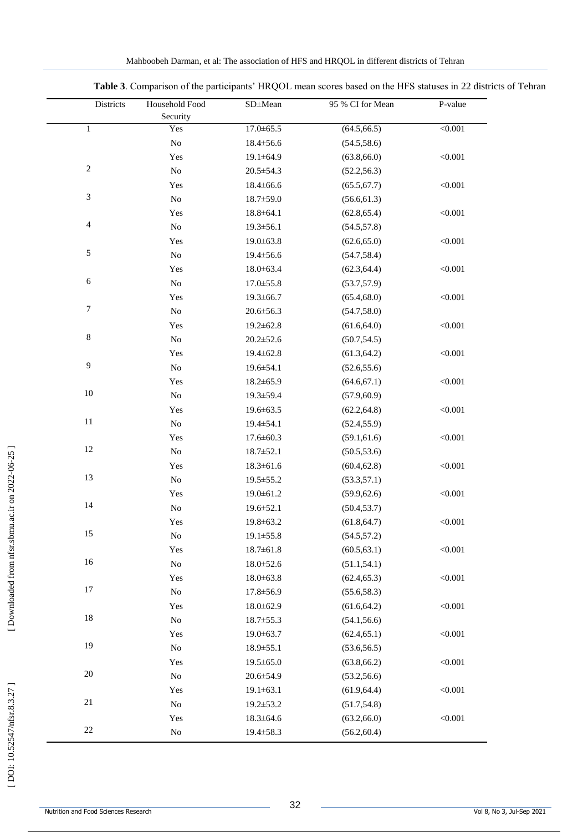| Districts                   | Household Food | SD±Mean         | 95 % CI for Mean | P-value |
|-----------------------------|----------------|-----------------|------------------|---------|
|                             | Security       |                 |                  |         |
| $\mathbf 1$                 | Yes            | $17.0 \pm 65.5$ | (64.5, 66.5)     | < 0.001 |
|                             | ${\rm No}$     | $18.4 \pm 56.6$ | (54.5, 58.6)     |         |
|                             | Yes            | $19.1 \pm 64.9$ | (63.8, 66.0)     | < 0.001 |
| $\sqrt{2}$                  | $\rm No$       | $20.5 \pm 54.3$ | (52.2, 56.3)     |         |
|                             | Yes            | $18.4 \pm 66.6$ | (65.5, 67.7)     | < 0.001 |
| $\ensuremath{\mathfrak{Z}}$ | $\rm No$       | $18.7 \pm 59.0$ | (56.6, 61.3)     |         |
|                             | Yes            | $18.8 \pm 64.1$ | (62.8, 65.4)     | < 0.001 |
| $\overline{4}$              | ${\rm No}$     | $19.3 \pm 56.1$ | (54.5, 57.8)     |         |
|                             | Yes            | 19.0±63.8       | (62.6, 65.0)     | < 0.001 |
| $\sqrt{5}$                  | $\rm No$       | 19.4±56.6       | (54.7, 58.4)     |         |
|                             | Yes            | $18.0 \pm 63.4$ | (62.3, 64.4)     | < 0.001 |
| $\sqrt{6}$                  | ${\rm No}$     | $17.0 \pm 55.8$ | (53.7, 57.9)     |         |
|                             | Yes            | $19.3 \pm 66.7$ | (65.4, 68.0)     | < 0.001 |
| $\tau$                      | $\rm No$       | $20.6 \pm 56.3$ | (54.7, 58.0)     |         |
|                             | Yes            | $19.2 \pm 62.8$ | (61.6, 64.0)     | < 0.001 |
| $\,8\,$                     | $\rm No$       | $20.2 \pm 52.6$ | (50.7, 54.5)     |         |
|                             | Yes            | $19.4 \pm 62.8$ | (61.3, 64.2)     | < 0.001 |
| $\overline{9}$              | ${\rm No}$     | 19.6±54.1       | (52.6, 55.6)     |         |
|                             | Yes            | $18.2 \pm 65.9$ | (64.6, 67.1)     | < 0.001 |
| 10                          | $\rm No$       | 19.3±59.4       | (57.9, 60.9)     |         |
|                             | Yes            | 19.6±63.5       | (62.2, 64.8)     | < 0.001 |
| $11\,$                      | $\rm No$       | $19.4 \pm 54.1$ | (52.4, 55.9)     |         |
|                             | Yes            | $17.6 \pm 60.3$ | (59.1, 61.6)     | < 0.001 |
| 12                          | ${\rm No}$     | $18.7 \pm 52.1$ | (50.5, 53.6)     |         |
|                             | Yes            | $18.3 \pm 61.6$ | (60.4, 62.8)     | < 0.001 |
| 13                          | $\rm No$       | 19.5 ± 55.2     | (53.3, 57.1)     |         |
|                             | Yes            | $19.0 \pm 61.2$ | (59.9, 62.6)     | < 0.001 |
| 14                          | $\rm No$       | 19.6±52.1       | (50.4, 53.7)     |         |
|                             | Yes            | 19.8±63.2       | (61.8, 64.7)     | < 0.001 |
| 15                          | No             | $19.1 \pm 55.8$ | (54.5, 57.2)     |         |
|                             | Yes            | $18.7 \pm 61.8$ | (60.5, 63.1)     | < 0.001 |
| 16                          | ${\rm No}$     | $18.0 \pm 52.6$ | (51.1, 54.1)     |         |
|                             | Yes            | $18.0 \pm 63.8$ | (62.4, 65.3)     | < 0.001 |
| 17                          | ${\rm No}$     | 17.8±56.9       | (55.6, 58.3)     |         |
|                             | Yes            | $18.0 \pm 62.9$ | (61.6, 64.2)     | < 0.001 |
| 18                          | ${\rm No}$     | $18.7 \pm 55.3$ | (54.1, 56.6)     |         |
|                             | Yes            | 19.0±63.7       | (62.4, 65.1)     | < 0.001 |
| 19                          | ${\rm No}$     | 18.9±55.1       | (53.6, 56.5)     |         |
|                             | Yes            | $19.5 \pm 65.0$ | (63.8, 66.2)     | < 0.001 |
| 20                          | ${\rm No}$     | 20.6±54.9       | (53.2, 56.6)     |         |
|                             | Yes            | $19.1 \pm 63.1$ | (61.9, 64.4)     | < 0.001 |
| $21\,$                      | $\rm No$       | 19.2±53.2       | (51.7, 54.8)     |         |
|                             | Yes            | $18.3 \pm 64.6$ | (63.2, 66.0)     | < 0.001 |
| $22\,$                      | $\rm No$       | 19.4±58.3       | (56.2, 60.4)     |         |

**Table 3**. Comparison of the participants' HRQOL mean scores based on the HFS statuses in 22 districts of Tehran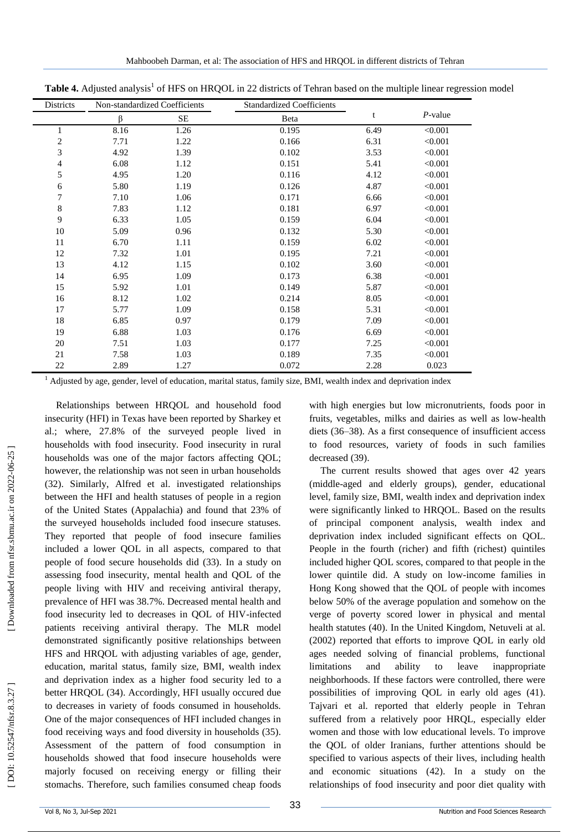| Districts        | Non-standardized Coefficients |      | <b>Standardized Coefficients</b> |      |            |  |
|------------------|-------------------------------|------|----------------------------------|------|------------|--|
|                  | ß                             | SЕ   | Beta                             | t    | $P$ -value |  |
| $\mathbf{1}$     | 8.16                          | 1.26 | 0.195                            | 6.49 | < 0.001    |  |
| $\boldsymbol{2}$ | 7.71                          | 1.22 | 0.166                            | 6.31 | < 0.001    |  |
| 3                | 4.92                          | 1.39 | 0.102                            | 3.53 | < 0.001    |  |
| $\overline{4}$   | 6.08                          | 1.12 | 0.151                            | 5.41 | < 0.001    |  |
| 5                | 4.95                          | 1.20 | 0.116                            | 4.12 | < 0.001    |  |
| $\sqrt{6}$       | 5.80                          | 1.19 | 0.126                            | 4.87 | < 0.001    |  |
| 7                | 7.10                          | 1.06 | 0.171                            | 6.66 | < 0.001    |  |
| $\,8\,$          | 7.83                          | 1.12 | 0.181                            | 6.97 | < 0.001    |  |
| 9                | 6.33                          | 1.05 | 0.159                            | 6.04 | < 0.001    |  |
| 10               | 5.09                          | 0.96 | 0.132                            | 5.30 | < 0.001    |  |
| 11               | 6.70                          | 1.11 | 0.159                            | 6.02 | < 0.001    |  |
| 12               | 7.32                          | 1.01 | 0.195                            | 7.21 | < 0.001    |  |
| 13               | 4.12                          | 1.15 | 0.102                            | 3.60 | < 0.001    |  |
| 14               | 6.95                          | 1.09 | 0.173                            | 6.38 | < 0.001    |  |
| 15               | 5.92                          | 1.01 | 0.149                            | 5.87 | < 0.001    |  |
| 16               | 8.12                          | 1.02 | 0.214                            | 8.05 | < 0.001    |  |
| 17               | 5.77                          | 1.09 | 0.158                            | 5.31 | < 0.001    |  |
| 18               | 6.85                          | 0.97 | 0.179                            | 7.09 | < 0.001    |  |
| 19               | 6.88                          | 1.03 | 0.176                            | 6.69 | < 0.001    |  |
| 20               | 7.51                          | 1.03 | 0.177                            | 7.25 | < 0.001    |  |
| 21               | 7.58                          | 1.03 | 0.189                            | 7.35 | < 0.001    |  |
| 22               | 2.89                          | 1.27 | 0.072                            | 2.28 | 0.023      |  |

Table 4. Adjusted analysis<sup>1</sup> of HFS on HRQOL in 22 districts of Tehran based on the multiple linear regression model

 $1$  Adjusted by age, gender, level of education, marital status, family size, BMI, wealth index and deprivation index

Relationships between HRQOL and household food insecurity (HFI) in Texas have been reported by Sharkey et al.; where, 27.8% of the surveyed people lived in households with food insecurity. Food insecurity in rural households was one of the major factors affecting QOL; however, the relationship was not seen in urban households (32). Similarly, Alfred et al. investigated relationships between the HFI and health statuses of people in a region of the United States (Appalachia) and found that 23% of the surveyed households included food insecure statuses. They reported that people of food insecure families included a lower QOL in all aspects, compared to that people of food secure households did (33). In a study on assessing food insecurity, mental health and QOL of the people living with HIV and receiving antiviral therapy, prevalence of HFI was 38.7%. Decreased mental health and food insecurity led to decreases in QOL of HIV -infected patients receiving antiviral therapy. The MLR model demonstrated significantly positive relationships between HFS and HRQOL with adjusting variables of age, gender, education, marital status, family size, BMI, wealth index and deprivation index as a higher food security led to a better HRQOL (34). Accordingly, HFI usually occured due to decreases in variety of foods consumed in households. One of the major consequences of HFI included changes in food receiving ways and food diversity in households (35). Assessment of the pattern of food consumption in households showed that food insecure households were majorly focused on receiving energy or filling their stomachs. Therefore, such families consumed cheap foods

with high energies but low micronutrients, foods poor in fruits, vegetables, milks and dairies as well as low -health diets (36 –38). As a first consequence of insufficient access to food resources, variety of foods in such families decreased (39).

The current results showed that ages over 42 years (middle -aged and elderly groups), gender, educational level, family size, BMI, wealth index and deprivation index were significantly linked to HRQOL. Based on the results of principal component analysis, wealth index and deprivation index included significant effects on QOL. People in the fourth (richer) and fifth (richest) quintiles included higher QOL scores, compared to that people in the lower quintile did. A study on low -income families in Hong Kong showed that the QOL of people with incomes below 50% of the average population and somehow on the verge of poverty scored lower in physical and mental health statutes (40). In the United Kingdom, Netuveli at al. (2002) reported that efforts to improve QOL in early old ages needed solving of financial problems, functional limitations and ability to leave inappropriate neighborhoods. If these factors were controlled, there were possibilities of improving QOL in early old ages (41). Tajvari et al. reported that elderly people in Tehran suffered from a relatively poor HRQL, especially elder women and those with low educational levels. To improve the QOL of older Iranians, further attentions should be specified to various aspects of their lives, including health and economic situations (42). In a study on the relationships of food insecurity and poor diet quality with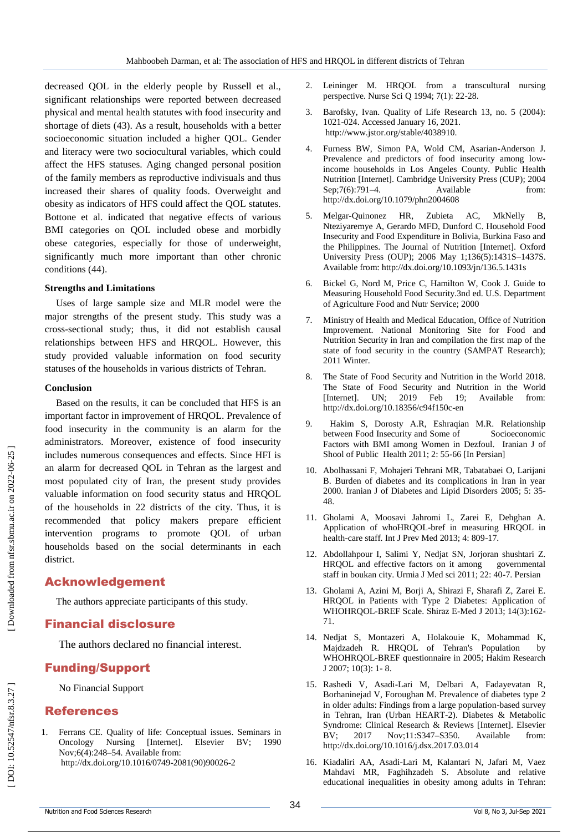decreased QOL in the elderly people by Russell et al., significant relationships were reported between decreased physical and mental health statutes with food insecurity and shortage of diets (43). As a result, households with a better socioeconomic situation included a higher QOL. Gender and literacy were two sociocultural variables, which could affect the HFS statuses. Aging changed personal position of the family members as reproductive indivisuals and thus increased their shares of quality foods. Overweight and obesity as indicators of HFS could affect the QOL statutes. Bottone et al. indicated that negative effects of various BMI categories on QOL included obese and morbidly obese categories, especially for those of underweight, significantly much more important than other chronic conditions (44) .

#### **Strengths and Limitations**

Uses of large sample size and MLR model were the major strengths of the present study. This study was a cross -sectional study; thus, it did not establish causal relationships between HFS and HRQOL. However, this study provided valuable information on food security statuses of the households in various districts of Tehran.

#### **Conclusion**

Based on the results, it can be concluded that HFS is an important factor in improvement of HRQOL. Prevalence of food insecurity in the community is an alarm for the administrators. Moreover, existence of food insecurity includes numerous consequences and effects. Since HFI is an alarm for decreased QOL in Tehran as the largest and most populated city of Iran, the present study provides valuable information on food security status and HRQOL of the households in 22 districts of the city. Thus, it is recommended that policy makers prepare efficient intervention programs to promote QOL of urban households based on the social determinants in each district.

## Acknowledgement

The authors appreciate participants of this study.

## Financial disclosure

The authors declared no financial interest.

## Funding/Support

No Financial Support

## References

1 . Ferrans CE. Quality of life: Conceptual issues. Seminars in Oncology Nursing [Internet]. Elsevier BV; 1990 Nov;6(4):248 –54. Available from: http://dx.doi.org/10.1016/0749 -2081(90)90026 - 2

- 2. Leininger M. HRQOL from a transcultural nursing perspective. Nurse Sci Q 1994; 7(1): 22 -28.
- 3. . Barofsky, Ivan. Quality of Life Research 13, no. 5 (2004): 1021 -024. Accessed January 16, 2021. http://www.jstor.org/stable/4038910.
- 4 . Furness BW, Simon PA, Wold CM, Asarian -Anderson J. Prevalence and predictors of food insecurity among lowincome households in Los Angeles County. Public Health Nutrition [Internet]. Cambridge University Press (CUP); 2004 Sep;7(6):791-4. –4. Available from: http://dx.doi.org/10.1079/phn2004608
- 5 . Melgar -Quinonez HR, Zubieta AC, MkNelly B, Nteziyaremye A, Gerardo MFD, Dunford C. Household Food Insecurity and Food Expenditure in Bolivia, Burkina Faso and the Philippines. The Journal of Nutrition [Internet]. Oxford University Press (OUP); 2006 May 1;136(5):1431S –1437S. Available from: http://dx.doi.org/10.1093/jn/136.5.1431s
- 6 . Bickel G, Nord M, Price C, Hamilton W, Cook J. Guide to Measuring Household Food Security.3nd ed. U.S. Department of Agriculture Food and Nutr Service; 2000
- 7 . Ministry of Health and Medical Education, Office of Nutrition Improvement. National Monitoring Site for Food and Nutrition Security in Iran and compilation the first map of the state of food security in the country (SAMPAT Research); 2011 Winter.
- 8 . The State of Food Security and Nutrition in the World 2018. The State of Food Security and Nutrition in the World [Internet]. UN; 2019 Feb 19; Available from: http://dx.doi.org/10.18356/c94f150c -en
- 9. . Hakim S, Dorosty A.R, Eshraqian M.R. Relationship between Food Insecurity and Some of Socioeconomic Factors with BMI among Women in Dezfoul. Iranian J of Shool of Public Health 2011; 2: 55 -66 [In Persian]
- 10 . Abolhassani F, Mohajeri Tehrani MR, Tabatabaei O, Larijani B. Burden of diabetes and its complications in Iran in year 2000. Iranian J of Diabetes and Lipid Disorders 2005; 5: 35 - 48.
- 11 . Gholami A, Moosavi Jahromi L, Zarei E, Dehghan A. Application of whoHRQOL -bref in measuring HRQOL in health -care staff. Int J Prev Med 2013; 4: 809 -17.
- 12 . Abdollahpour I, Salimi Y, Nedjat SN, Jorjoran shushtari Z. HRQOL and effective factors on it among governmental staff in boukan city. Urmia J Med sci 2011; 22: 40 -7. Persian
- 13 . Gholami A, Azini M, Borji A, Shirazi F, Sharafi Z, Zarei E. HRQOL in Patients with Type 2 Diabetes: Application of WHOHRQOL -BREF Scale. Shiraz E -Med J 2013; 14(3):162 - 71.
- 14 . Nedjat S, Montazeri A, Holakouie K, Mohammad K, Majdzadeh R. HRQOL of Tehran's Population by WHOHRQOL -BREF questionnaire in 2005; Hakim Research J 2007; 10(3): 1 - 8.
- 15 . Rashedi V, Asadi -Lari M, Delbari A, Fadayevatan R, Borhaninejad V, Foroughan M. Prevalence of diabetes type 2 in older adults: Findings from a large population -based survey in Tehran, Iran (Urban HEART -2). Diabetes & Metabolic Syndrome: Clinical Research & Reviews [Internet]. Elsevier BV; 2017 Nov;11:S347-S350. Available from: <http://dx.doi.org/10.1016/j.dsx.2017.03.014>
- 16 . Kiadaliri AA, Asadi -Lari M, Kalantari N, Jafari M, Vaez Mahdavi MR, Faghihzadeh S. Absolute and relative educational inequalities in obesity among adults in Tehran:

DOI: 10.52547/nfsr.8.3.27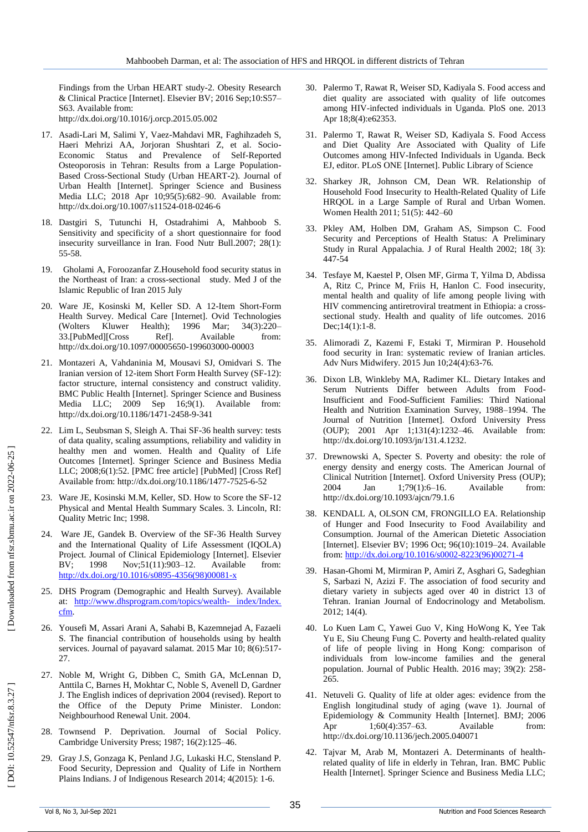Findings from the Urban HEART study -2. Obesity Research & Clinical Practice [Internet]. Elsevier BV; 2016 Sep;10:S57 – S63. Available from: http://dx.doi.org/10.1016/j.orcp.2015.05.002

- 17 . Asadi -Lari M, Salimi Y, Vaez -Mahdavi MR, Faghihzadeh S, Haeri Mehrizi AA, Jorjoran Shushtari Z, et al. Socio - Economic Status and Prevalence of Self-Reported Osteoporosis in Tehran: Results from a Large Population - Based Cross -Sectional Study (Urban HEART -2). Journal of Urban Health [Internet]. Springer Science and Business Media LLC; 2018 Apr 10;95(5):682 –90. Available from: http://dx.doi.org/10.1007/s11524 -018 -0246 - 6
- 18 . Dastgiri S, Tutunchi H, Ostadrahimi A, Mahboob S. Sensitivity and specificity of a short questionnaire for food insecurity surveillance in Iran. Food Nutr Bull.2007; 28(1): 55 -58.
- 19 . Gholami A, Foroozanfar Z.Household food security status in the Northeast of Iran: a cross -sectional study. Med J of the Islamic Republic of Iran 2015 July
- 20 . Ware JE, Kosinski M, Keller SD. A 12 -Item Short -Form Health Survey. Medical Care [Internet]. Ovid Technologies (Wolters Kluwer Health); 1996 Mar; 34(3):220-33.[PubMed][Cross Ref]. Available from: http://dx.doi.org/10.1097/00005650 -199603000 -00003
- 21 . Montazeri A, Vahdaninia M, Mousavi SJ, Omidvari S. The Iranian version of 12-item Short Form Health Survey (SF-12): factor structure, internal consistency and construct validity. BMC Public Health [Internet]. Springer Science and Business Media LLC; 2009 Sep 16;9(1). Available from: http://dx.doi.org/10.1186/1471 -2458 - 9 -341
- 22 . Lim L, Seubsman S, Sleigh A. Thai SF -36 health survey: tests of data quality, scaling assumptions, reliability and validity in healthy men and women. Health and Quality of Life Outcomes [Internet]. Springer Science and Business Media LLC; 2008;6(1):52. [PMC free article] [PubMed] [Cross Ref] Available from: http://dx.doi.org/10.1186/1477 -7525 - 6 -52
- 23 . Ware JE, Kosinski M.M, Keller, SD. How to Score the SF -12 Physical and Mental Health Summary Scales. 3. Lincoln, RI: Quality Metric Inc; 1998.
- 24 . Ware JE, Gandek B. Overview of the SF -36 Health Survey and the International Quality of Life Assessment (IQOLA) Project. Journal of Clinical Epidemiology [Internet]. Elsevier BV; 1998 Nov;51(11):903-12. Available from: [http://dx.doi.org/10.1016/s0895](http://dx.doi.org/10.1016/s0895-4356\(98\)00081-x)-4356(98)00081-x
- 25 . DHS Program (Demographic and Health Survey). Available at: [http://www.dhsprogram.com/topics/wealth](http://www.dhsprogram.com/topics/wealth-%20index/Index.%20cfm)-index/Index. [cfm](http://www.dhsprogram.com/topics/wealth-%20index/Index.%20cfm).
- 26 . Yousefi M, Assari Arani A, Sahabi B, Kazemnejad A, Fazaeli S. The financial contribution of households using by health services. Journal of payavard salamat. 2015 Mar 10; 8(6):517-27.
- 27 . Noble M, Wright G, Dibben C, Smith GA, McLennan D, Anttila C, Barnes H, Mokhtar C, Noble S, Avenell D, Gardner J. The English indices of deprivation 2004 (revised). Report to the Office of the Deputy Prime Minister. London: Neighbourhood Renewal Unit. 2004.
- 28 . Townsend P. Deprivation. Journal of Social Policy. Cambridge University Press; 1987; 16(2):125 –46.
- 29 . Gray J.S, Gonzaga K, Penland J.G, Lukaski H.C, Stensland P. Food Security, Depression and Quality of Life in Northern Plains Indians. J of Indigenous Research 2014; 4(2015): 1 -6.
- 30 . Palermo T, Rawat R, Weiser SD, Kadiyala S. Food access and diet quality are associated with quality of life outcomes among HIV -infected individuals in Uganda. PloS one. 2013 Apr 18;8(4):e62353 .
- 31 . Palermo T, Rawat R, Weiser SD, Kadiyala S. Food Access and Diet Quality Are Associated with Quality of Life Outcomes among HIV -Infected Individuals in Uganda. Beck EJ, editor. PLoS ONE [Internet]. Public Library of Science
- 32 . Sharkey JR, Johnson CM, Dean WR. Relationship of Household Food Insecurity to Health -Related Quality of Life HRQOL in a Large Sample of Rural and Urban Women. Women Health 2011; 51(5): 442 –60
- 33 . Pkley AM, Holben DM, Graham AS, Simpson C. Food Security and Perceptions of Health Status: A Preliminary Study in Rural Appalachia. J of Rural Health 2002; 18( 3): 447 -54
- 34 . Tesfaye M, Kaestel P, Olsen MF, Girma T, Yilma D, Abdissa A, Ritz C, Prince M, Friis H, Hanlon C. Food insecurity, mental health and quality of life among people living with HIV commencing antiretroviral treatment in Ethiopia: a cross sectional study. Health and quality of life outcomes. 2016 Dec;14(1):1 -8.
- 35 . Alimoradi Z, Kazemi F, Estaki T, Mirmiran P. Household food security in Iran: systematic review of Iranian articles. Adv Nurs Midwifery. 2015 Jun 10;24(4):63 -76.
- 36 . Dixon LB, Winkleby MA, Radimer KL. Dietary Intakes and Serum Nutrients Differ between Adults from Food - Insufficient and Food -Sufficient Families: Third National Health and Nutrition Examination Survey, 1988 –1994. The Journal of Nutrition [Internet]. Oxford University Press (OUP); 2001 Apr 1;131(4):1232 –46. Available from: http://dx.doi.org/10.1093/jn/131.4.1232.
- 37 . Drewnowski A, Specter S. Poverty and obesity: the role of energy density and energy costs. The American Journal of Clinical Nutrition [Internet]. Oxford University Press (OUP); 2004 Jan 1;79(1):6-16. –16. Available from: http://dx.doi.org/10.1093/ajcn/79.1.6
- 38 . KENDALL A, OLSON CM, FRONGILLO EA. Relationship of Hunger and Food Insecurity to Food Availability and Consumption. Journal of the American Dietetic Association [Internet]. Elsevier BV; 1996 Oct; 96(10):1019 –24. Available from[: http://dx.doi.org/10.1016/s0002](http://dx.doi.org/10.1016/s0002-8223\(96\)00271-4)-8223(96)00271-4
- 39 . Hasan -Ghomi M, Mirmiran P, Amiri Z, Asghari G, Sadeghian S, Sarbazi N, Azizi F. The association of food security and dietary variety in subjects aged over 40 in district 13 of Tehran. Iranian Journal of Endocrinology and Metabolism. 2012; 14(4).
- 40 . Lo Kuen Lam C, Yawei Guo V, King HoWong K, Yee Tak Yu E, Siu Cheung Fung C. Poverty and health -related quality of life of people living in Hong Kong: comparison of individuals from low -income families and the general population. Journal of Public Health. 2016 may; 39(2): 258 - 265.
- 41 . Netuveli G. Quality of life at older ages: evidence from the English longitudinal study of aging (wave 1). Journal of Epidemiology & Community Health [Internet]. BMJ; 2006 Apr 1;60(4):357–63. –63. Available from: http://dx.doi.org/10.1136/jech.2005.040071
- 42 . Tajvar M, Arab M, Montazeri A. Determinants of health related quality of life in elderly in Tehran, Iran. BMC Public Health [Internet]. Springer Science and Business Media LLC;

DOI: 10.52547/nfsr.8.3.27